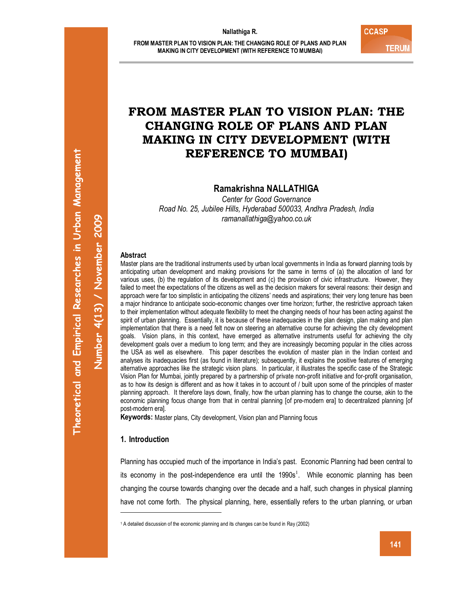# **FROM MASTER PLAN TO VISION PLAN: THE CHANGING ROLE OF PLANS AND PLAN MAKING IN CITY DEVELOPMENT (WITH REFERENCE TO MUMBAI)**

**Ramakrishna NALLATHIGA** 

*Center for Good Governance Road No. 25, Jubilee Hills, Hyderabad 500033, Andhra Pradesh, India ramanallathiga@yahoo.co.uk* 

### **Abstract**

Master plans are the traditional instruments used by urban local governments in India as forward planning tools by anticipating urban development and making provisions for the same in terms of (a) the allocation of land for various uses, (b) the regulation of its development and (c) the provision of civic infrastructure. However, they failed to meet the expectations of the citizens as well as the decision makers for several reasons: their design and approach were far too simplistic in anticipating the citizens' needs and aspirations; their very long tenure has been a major hindrance to anticipate socio-economic changes over time horizon; further, the restrictive approach taken to their implementation without adequate flexibility to meet the changing needs of hour has been acting against the spirit of urban planning. Essentially, it is because of these inadequacies in the plan design, plan making and plan implementation that there is a need felt now on steering an alternative course for achieving the city development goals. Vision plans, in this context, have emerged as alternative instruments useful for achieving the city development goals over a medium to long term; and they are increasingly becoming popular in the cities across the USA as well as elsewhere. This paper describes the evolution of master plan in the Indian context and analyses its inadequacies first (as found in literature); subsequently, it explains the positive features of emerging alternative approaches like the strategic vision plans. In particular, it illustrates the specific case of the Strategic Vision Plan for Mumbai, jointly prepared by a partnership of private non-profit initiative and for-profit organisation, as to how its design is different and as how it takes in to account of / built upon some of the principles of master planning approach. It therefore lays down, finally, how the urban planning has to change the course, akin to the economic planning focus change from that in central planning [of pre-modern era] to decentralized planning [of post-modern era].

**Keywords:** Master plans, City development, Vision plan and Planning focus

# **1. Introduction**

 $\overline{a}$ 

Planning has occupied much of the importance in India's past. Economic Planning had been central to its economy in the post-independence era until the  $1990s<sup>1</sup>$ . While economic planning has been changing the course towards changing over the decade and a half, such changes in physical planning have not come forth. The physical planning, here, essentially refers to the urban planning, or urban

**Number 4(13) / November 2009** 

<sup>&</sup>lt;sup>1</sup> A detailed discussion of the economic planning and its changes can be found in Ray (2002)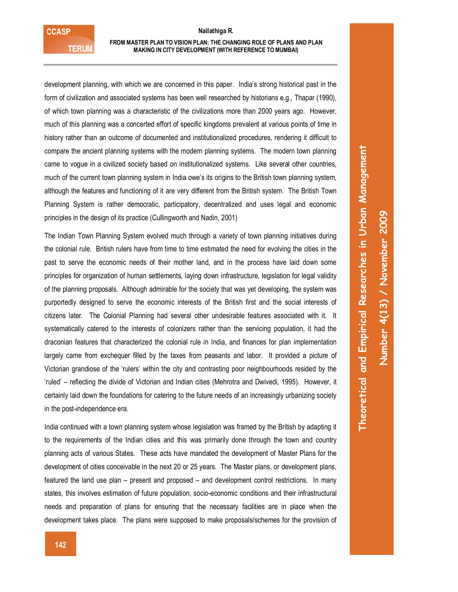**CCASP TERUM** 

#### **FROM MASTER PLAN TO VISION PLAN: THE CHANGING ROLE OF PLANS AND PLAN MAKING IN CITY DEVELOPMENT (WITH REFERENCE TO MUMBAI)**

development planning, with which we are concerned in this paper. India's strong historical past in the form of civilization and associated systems has been well researched by historians e.g., Thapar (1990), of which town planning was a characteristic of the civilizations more than 2000 years ago. However, much of this planning was a concerted effort of specific kingdoms prevalent at various points of time in history rather than an outcome of documented and institutionalized procedures, rendering it difficult to compare the ancient planning systems with the modern planning systems. The modern town planning came to vogue in a civilized society based on institutionalized systems. Like several other countries, much of the current town planning system in India owe's its origins to the British town planning system, although the features and functioning of it are very different from the British system. The British Town Planning System is rather democratic, participatory, decentralized and uses legal and economic principles in the design of its practice (Cullingworth and Nadin, 2001)

The Indian Town Planning System evolved much through a variety of town planning initiatives during the colonial rule. British rulers have from time to time estimated the need for evolving the cities in the past to serve the economic needs of their mother land, and in the process have laid down some principles for organization of human settlements, laying down infrastructure, legislation for legal validity of the planning proposals. Although admirable for the society that was yet developing, the system was purportedly designed to serve the economic interests of the British first and the social interests of citizens later. The Colonial Planning had several other undesirable features associated with it. It systematically catered to the interests of colonizers rather than the servicing population, it had the draconian features that characterized the colonial rule in India, and finances for plan implementation largely came from exchequer filled by the taxes from peasants and labor. It provided a picture of Victorian grandiose of the 'rulers' within the city and contrasting poor neighbourhoods resided by the 'ruled' – reflecting the divide of Victorian and Indian cities (Mehrotra and Dwivedi, 1995). However, it certainly laid down the foundations for catering to the future needs of an increasingly urbanizing society in the post-independence era.

India continued with a town planning system whose legislation was framed by the British by adapting it to the requirements of the Indian cities and this was primarily done through the town and country planning acts of various States. These acts have mandated the development of Master Plans for the development of cities conceivable in the next 20 or 25 years. The Master plans, or development plans, featured the land use plan – present and proposed – and development control restrictions. In many states, this involves estimation of future population, socio-economic conditions and their infrastructural needs and preparation of plans for ensuring that the necessary facilities are in place when the development takes place. The plans were supposed to make proposals/schemes for the provision of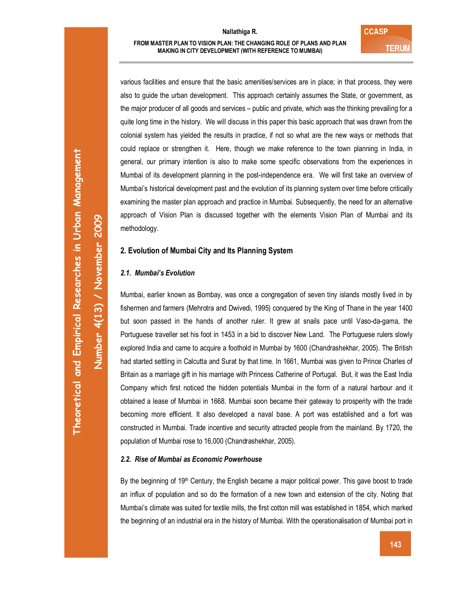**Number 4(13) / November 2009** 

Number 4(13) / November 2009

various facilities and ensure that the basic amenities/services are in place; in that process, they were also to guide the urban development. This approach certainly assumes the State, or government, as the major producer of all goods and services – public and private, which was the thinking prevailing for a quite long time in the history. We will discuss in this paper this basic approach that was drawn from the colonial system has yielded the results in practice, if not so what are the new ways or methods that could replace or strengthen it. Here, though we make reference to the town planning in India, in general, our primary intention is also to make some specific observations from the experiences in Mumbai of its development planning in the post-independence era. We will first take an overview of Mumbai's historical development past and the evolution of its planning system over time before critically examining the master plan approach and practice in Mumbai. Subsequently, the need for an alternative approach of Vision Plan is discussed together with the elements Vision Plan of Mumbai and its methodology.

# **2. Evolution of Mumbai City and Its Planning System**

# *2.1. Mumbai's Evolution*

Mumbai, earlier known as Bombay, was once a congregation of seven tiny islands mostly lived in by fishermen and farmers (Mehrotra and Dwivedi, 1995) conquered by the King of Thane in the year 1400 but soon passed in the hands of another ruler. It grew at snails pace until Vaso-da-gama, the Portuguese traveller set his foot in 1453 in a bid to discover New Land. The Portuguese rulers slowly explored India and came to acquire a foothold in Mumbai by 1600 (Chandrashekhar, 2005). The British had started settling in Calcutta and Surat by that time. In 1661, Mumbai was given to Prince Charles of Britain as a marriage gift in his marriage with Princess Catherine of Portugal. But, it was the East India Company which first noticed the hidden potentials Mumbai in the form of a natural harbour and it obtained a lease of Mumbai in 1668. Mumbai soon became their gateway to prosperity with the trade becoming more efficient. It also developed a naval base. A port was established and a fort was constructed in Mumbai. Trade incentive and security attracted people from the mainland. By 1720, the population of Mumbai rose to 16,000 (Chandrashekhar, 2005).

### *2.2. Rise of Mumbai as Economic Powerhouse*

By the beginning of 19<sup>th</sup> Century, the English became a major political power. This gave boost to trade an influx of population and so do the formation of a new town and extension of the city. Noting that Mumbai's climate was suited for textile mills, the first cotton mill was established in 1854, which marked the beginning of an industrial era in the history of Mumbai. With the operationalisation of Mumbai port in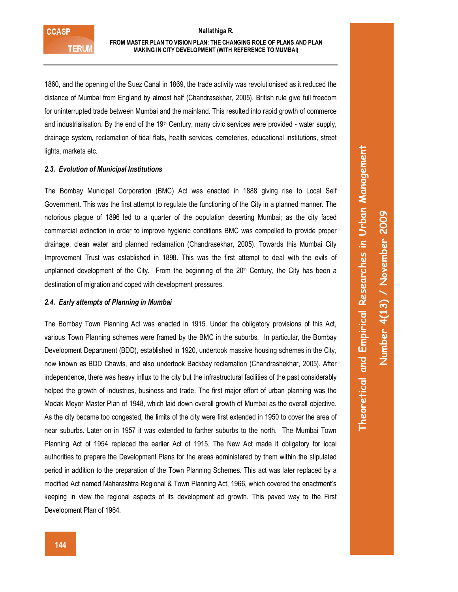### **FROM MASTER PLAN TO VISION PLAN: THE CHANGING ROLE OF PLANS AND PLAN MAKING IN CITY DEVELOPMENT (WITH REFERENCE TO MUMBAI)**

1860, and the opening of the Suez Canal in 1869, the trade activity was revolutionised as it reduced the distance of Mumbai from England by almost half (Chandrasekhar, 2005). British rule give full freedom for uninterrupted trade between Mumbai and the mainland. This resulted into rapid growth of commerce and industrialisation. By the end of the  $19<sup>th</sup>$  Century, many civic services were provided - water supply, drainage system, reclamation of tidal flats, health services, cemeteries, educational institutions, street lights, markets etc.

### *2.3. Evolution of Municipal Institutions*

The Bombay Municipal Corporation (BMC) Act was enacted in 1888 giving rise to Local Self Government. This was the first attempt to regulate the functioning of the City in a planned manner. The notorious plague of 1896 led to a quarter of the population deserting Mumbai; as the city faced commercial extinction in order to improve hygienic conditions BMC was compelled to provide proper drainage, clean water and planned reclamation (Chandrasekhar, 2005). Towards this Mumbai City Improvement Trust was established in 1898. This was the first attempt to deal with the evils of unplanned development of the City. From the beginning of the  $20<sup>th</sup>$  Century, the City has been a destination of migration and coped with development pressures.

#### *2.4. Early attempts of Planning in Mumbai*

The Bombay Town Planning Act was enacted in 1915. Under the obligatory provisions of this Act, various Town Planning schemes were framed by the BMC in the suburbs. In particular, the Bombay Development Department (BDD), established in 1920, undertook massive housing schemes in the City, now known as BDD Chawls, and also undertook Backbay reclamation (Chandrashekhar, 2005). After independence, there was heavy influx to the city but the infrastructural facilities of the past considerably helped the growth of industries, business and trade. The first major effort of urban planning was the Modak Meyor Master Plan of 1948, which laid down overall growth of Mumbai as the overall objective. As the city became too congested, the limits of the city were first extended in 1950 to cover the area of near suburbs. Later on in 1957 it was extended to farther suburbs to the north. The Mumbai Town Planning Act of 1954 replaced the earlier Act of 1915. The New Act made it obligatory for local authorities to prepare the Development Plans for the areas administered by them within the stipulated period in addition to the preparation of the Town Planning Schemes. This act was later replaced by a modified Act named Maharashtra Regional & Town Planning Act, 1966, which covered the enactment's keeping in view the regional aspects of its development ad growth. This paved way to the First Development Plan of 1964.

**Theoretical and Empirical Researches in Urban Management**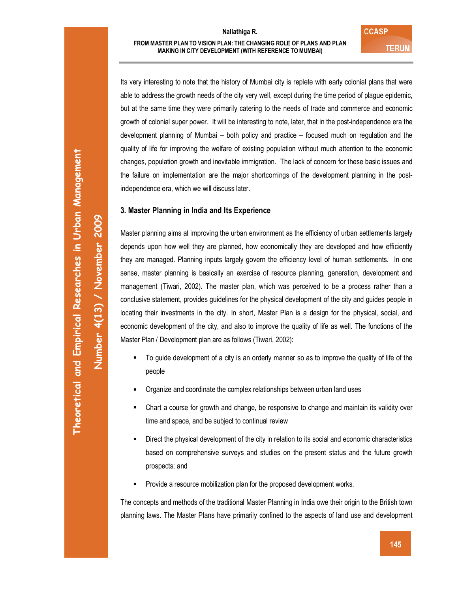Its very interesting to note that the history of Mumbai city is replete with early colonial plans that were able to address the growth needs of the city very well, except during the time period of plague epidemic, but at the same time they were primarily catering to the needs of trade and commerce and economic growth of colonial super power. It will be interesting to note, later, that in the post-independence era the development planning of Mumbai – both policy and practice – focused much on regulation and the quality of life for improving the welfare of existing population without much attention to the economic changes, population growth and inevitable immigration. The lack of concern for these basic issues and the failure on implementation are the major shortcomings of the development planning in the postindependence era, which we will discuss later.

### **3. Master Planning in India and Its Experience**

Master planning aims at improving the urban environment as the efficiency of urban settlements largely depends upon how well they are planned, how economically they are developed and how efficiently they are managed. Planning inputs largely govern the efficiency level of human settlements. In one sense, master planning is basically an exercise of resource planning, generation, development and management (Tiwari, 2002). The master plan, which was perceived to be a process rather than a conclusive statement, provides guidelines for the physical development of the city and guides people in locating their investments in the city. In short, Master Plan is a design for the physical, social, and economic development of the city, and also to improve the quality of life as well. The functions of the Master Plan / Development plan are as follows (Tiwari, 2002):

- To guide development of a city is an orderly manner so as to improve the quality of life of the people
- Organize and coordinate the complex relationships between urban land uses
- Chart a course for growth and change, be responsive to change and maintain its validity over time and space, and be subject to continual review
- Direct the physical development of the city in relation to its social and economic characteristics based on comprehensive surveys and studies on the present status and the future growth prospects; and
- Provide a resource mobilization plan for the proposed development works.

The concepts and methods of the traditional Master Planning in India owe their origin to the British town planning laws. The Master Plans have primarily confined to the aspects of land use and development

**Number 4(13) / November 2009**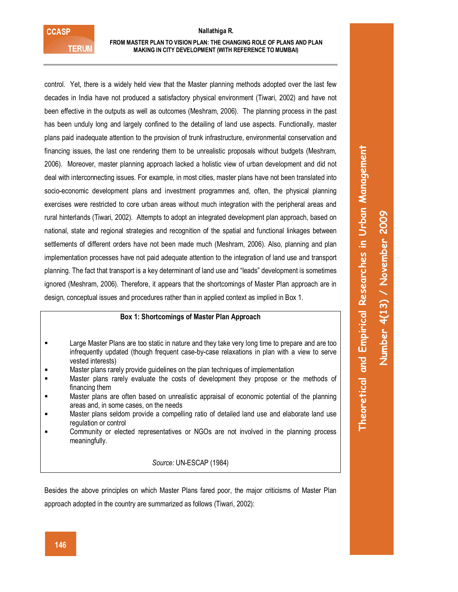# **FROM MASTER PLAN TO VISION PLAN: THE CHANGING ROLE OF PLANS AND PLAN MAKING IN CITY DEVELOPMENT (WITH REFERENCE TO MUMBAI)**

control. Yet, there is a widely held view that the Master planning methods adopted over the last few decades in India have not produced a satisfactory physical environment (Tiwari, 2002) and have not been effective in the outputs as well as outcomes (Meshram, 2006). The planning process in the past has been unduly long and largely confined to the detailing of land use aspects. Functionally, master plans paid inadequate attention to the provision of trunk infrastructure, environmental conservation and financing issues, the last one rendering them to be unrealistic proposals without budgets (Meshram, 2006). Moreover, master planning approach lacked a holistic view of urban development and did not deal with interconnecting issues. For example, in most cities, master plans have not been translated into socio-economic development plans and investment programmes and, often, the physical planning exercises were restricted to core urban areas without much integration with the peripheral areas and rural hinterlands (Tiwari, 2002). Attempts to adopt an integrated development plan approach, based on national, state and regional strategies and recognition of the spatial and functional linkages between settlements of different orders have not been made much (Meshram, 2006). Also, planning and plan implementation processes have not paid adequate attention to the integration of land use and transport planning. The fact that transport is a key determinant of land use and "leads" development is sometimes ignored (Meshram, 2006). Therefore, it appears that the shortcomings of Master Plan approach are in design, conceptual issues and procedures rather than in applied context as implied in Box 1.

# **Box 1: Shortcomings of Master Plan Approach**

- **EXECT** Large Master Plans are too static in nature and they take very long time to prepare and are too infrequently updated (though frequent case-by-case relaxations in plan with a view to serve vested interests)
- **EXECUTE:** Master plans rarely provide guidelines on the plan techniques of implementation
- Master plans rarely evaluate the costs of development they propose or the methods of financing them
- Master plans are often based on unrealistic appraisal of economic potential of the planning areas and, in some cases, on the needs
- Master plans seldom provide a compelling ratio of detailed land use and elaborate land use regulation or control
- Community or elected representatives or NGOs are not involved in the planning process meaningfully.

# *Source:* UN-ESCAP (1984)

Besides the above principles on which Master Plans fared poor, the major criticisms of Master Plan approach adopted in the country are summarized as follows (Tiwari, 2002):

**Theoretical and Empirical Researches in Urban Management**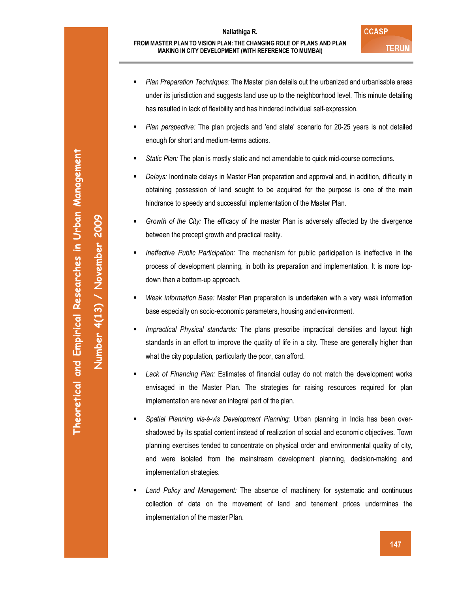- *Plan Preparation Techniques:* The Master plan details out the urbanized and urbanisable areas under its jurisdiction and suggests land use up to the neighborhood level. This minute detailing has resulted in lack of flexibility and has hindered individual self-expression.
- *Plan perspective:* The plan projects and 'end state' scenario for 20-25 years is not detailed enough for short and medium-terms actions.
- *Static Plan:* The plan is mostly static and not amendable to quick mid-course corrections.
- *Delays:* Inordinate delays in Master Plan preparation and approval and, in addition, difficulty in obtaining possession of land sought to be acquired for the purpose is one of the main hindrance to speedy and successful implementation of the Master Plan.
- *Growth of the City:* The efficacy of the master Plan is adversely affected by the divergence between the precept growth and practical reality.
- *Ineffective Public Participation:* The mechanism for public participation is ineffective in the process of development planning, in both its preparation and implementation. It is more topdown than a bottom-up approach.
- *Weak information Base:* Master Plan preparation is undertaken with a very weak information base especially on socio-economic parameters, housing and environment.
- *Impractical Physical standards:* The plans prescribe impractical densities and layout high standards in an effort to improve the quality of life in a city. These are generally higher than what the city population, particularly the poor, can afford.
- *Lack of Financing Plan:* Estimates of financial outlay do not match the development works envisaged in the Master Plan. The strategies for raising resources required for plan implementation are never an integral part of the plan.
- *Spatial Planning vis-à-vis Development Planning:* Urban planning in India has been overshadowed by its spatial content instead of realization of social and economic objectives. Town planning exercises tended to concentrate on physical order and environmental quality of city, and were isolated from the mainstream development planning, decision-making and implementation strategies.
- *Land Policy and Management:* The absence of machinery for systematic and continuous collection of data on the movement of land and tenement prices undermines the implementation of the master Plan.

**Number 4(13) / November 2009**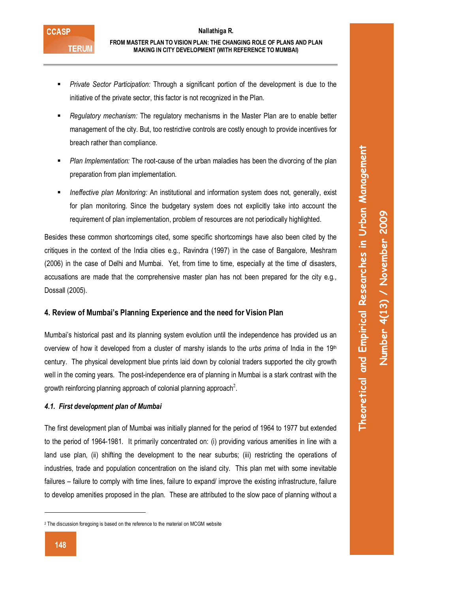- *Private Sector Participation:* Through a significant portion of the development is due to the initiative of the private sector, this factor is not recognized in the Plan.
- *Regulatory mechanism:* The regulatory mechanisms in the Master Plan are to enable better management of the city. But, too restrictive controls are costly enough to provide incentives for breach rather than compliance.
- *Plan Implementation:* The root-cause of the urban maladies has been the divorcing of the plan preparation from plan implementation.
- *Ineffective plan Monitoring:* An institutional and information system does not, generally, exist for plan monitoring. Since the budgetary system does not explicitly take into account the requirement of plan implementation, problem of resources are not periodically highlighted.

Besides these common shortcomings cited, some specific shortcomings have also been cited by the critiques in the context of the India cities e.g., Ravindra (1997) in the case of Bangalore, Meshram (2006) in the case of Delhi and Mumbai. Yet, from time to time, especially at the time of disasters, accusations are made that the comprehensive master plan has not been prepared for the city e.g., Dossall (2005).

# **4. Review of Mumbai's Planning Experience and the need for Vision Plan**

Mumbai's historical past and its planning system evolution until the independence has provided us an overview of how it developed from a cluster of marshy islands to the *urbs prima* of India in the 19th century. The physical development blue prints laid down by colonial traders supported the city growth well in the coming years. The post-independence era of planning in Mumbai is a stark contrast with the growth reinforcing planning approach of colonial planning approach<sup>2</sup>.

# *4.1. First development plan of Mumbai*

The first development plan of Mumbai was initially planned for the period of 1964 to 1977 but extended to the period of 1964-1981. It primarily concentrated on: (i) providing various amenities in line with a land use plan, (ii) shifting the development to the near suburbs; (iii) restricting the operations of industries, trade and population concentration on the island city. This plan met with some inevitable failures – failure to comply with time lines, failure to expand/ improve the existing infrastructure, failure to develop amenities proposed in the plan. These are attributed to the slow pace of planning without a

**Theoretical and Empirical Researches in Urban Management** 

Theoretical and Empirical Researches in Urban Management

-

<sup>2</sup> The discussion foregoing is based on the reference to the material on MCGM website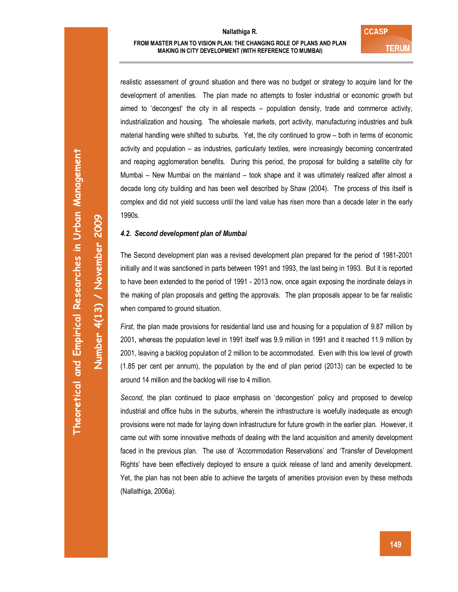realistic assessment of ground situation and there was no budget or strategy to acquire land for the development of amenities. The plan made no attempts to foster industrial or economic growth but aimed to 'decongest' the city in all respects – population density, trade and commerce activity, industrialization and housing. The wholesale markets, port activity, manufacturing industries and bulk material handling were shifted to suburbs. Yet, the city continued to grow – both in terms of economic activity and population – as industries, particularly textiles, were increasingly becoming concentrated and reaping agglomeration benefits. During this period, the proposal for building a satellite city for Mumbai – New Mumbai on the mainland – took shape and it was ultimately realized after almost a decade long city building and has been well described by Shaw (2004). The process of this itself is complex and did not yield success until the land value has risen more than a decade later in the early 1990s.

# *4.2. Second development plan of Mumbai*

The Second development plan was a revised development plan prepared for the period of 1981-2001 initially and it was sanctioned in parts between 1991 and 1993, the last being in 1993. But it is reported to have been extended to the period of 1991 - 2013 now, once again exposing the inordinate delays in the making of plan proposals and getting the approvals. The plan proposals appear to be far realistic when compared to ground situation.

*First*, the plan made provisions for residential land use and housing for a population of 9.87 million by 2001, whereas the population level in 1991 itself was 9.9 million in 1991 and it reached 11.9 million by 2001, leaving a backlog population of 2 million to be accommodated. Even with this low level of growth (1.85 per cent per annum), the population by the end of plan period (2013) can be expected to be around 14 million and the backlog will rise to 4 million.

*Second*, the plan continued to place emphasis on 'decongestion' policy and proposed to develop industrial and office hubs in the suburbs, wherein the infrastructure is woefully inadequate as enough provisions were not made for laying down infrastructure for future growth in the earlier plan. However, it came out with some innovative methods of dealing with the land acquisition and amenity development faced in the previous plan. The use of 'Accommodation Reservations' and 'Transfer of Development Rights' have been effectively deployed to ensure a quick release of land and amenity development. Yet, the plan has not been able to achieve the targets of amenities provision even by these methods (Nallathiga, 2006a).

**Number 4(13) / November 2009**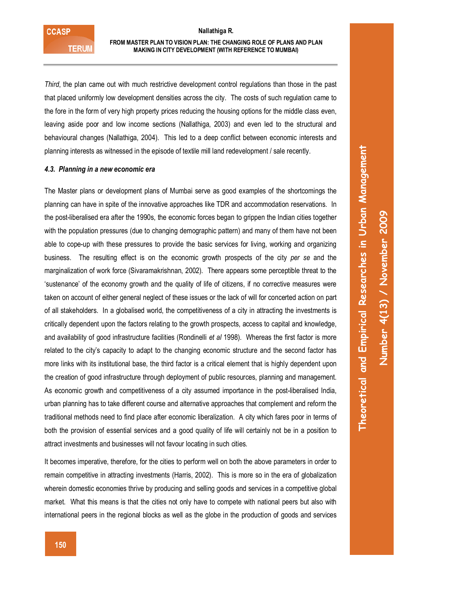### **FROM MASTER PLAN TO VISION PLAN: THE CHANGING ROLE OF PLANS AND PLAN MAKING IN CITY DEVELOPMENT (WITH REFERENCE TO MUMBAI)**

*Third*, the plan came out with much restrictive development control regulations than those in the past that placed uniformly low development densities across the city. The costs of such regulation came to the fore in the form of very high property prices reducing the housing options for the middle class even, leaving aside poor and low income sections (Nallathiga, 2003) and even led to the structural and behavioural changes (Nallathiga, 2004). This led to a deep conflict between economic interests and planning interests as witnessed in the episode of textile mill land redevelopment / sale recently.

#### *4.3. Planning in a new economic era*

The Master plans or development plans of Mumbai serve as good examples of the shortcomings the planning can have in spite of the innovative approaches like TDR and accommodation reservations. In the post-liberalised era after the 1990s, the economic forces began to grippen the Indian cities together with the population pressures (due to changing demographic pattern) and many of them have not been able to cope-up with these pressures to provide the basic services for living, working and organizing business. The resulting effect is on the economic growth prospects of the city *per se* and the marginalization of work force (Sivaramakrishnan, 2002). There appears some perceptible threat to the 'sustenance' of the economy growth and the quality of life of citizens, if no corrective measures were taken on account of either general neglect of these issues or the lack of will for concerted action on part of all stakeholders. In a globalised world, the competitiveness of a city in attracting the investments is critically dependent upon the factors relating to the growth prospects, access to capital and knowledge, and availability of good infrastructure facilities (Rondinelli *et al* 1998). Whereas the first factor is more related to the city's capacity to adapt to the changing economic structure and the second factor has more links with its institutional base, the third factor is a critical element that is highly dependent upon the creation of good infrastructure through deployment of public resources, planning and management. As economic growth and competitiveness of a city assumed importance in the post-liberalised India, urban planning has to take different course and alternative approaches that complement and reform the traditional methods need to find place after economic liberalization. A city which fares poor in terms of both the provision of essential services and a good quality of life will certainly not be in a position to attract investments and businesses will not favour locating in such cities.

It becomes imperative, therefore, for the cities to perform well on both the above parameters in order to remain competitive in attracting investments (Harris, 2002). This is more so in the era of globalization wherein domestic economies thrive by producing and selling goods and services in a competitive global market. What this means is that the cities not only have to compete with national peers but also with international peers in the regional blocks as well as the globe in the production of goods and services **Theoretical and Empirical Researches in Urban Management**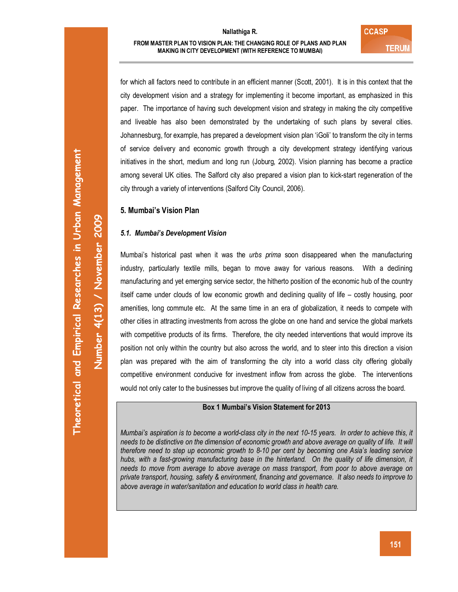for which all factors need to contribute in an efficient manner (Scott, 2001). It is in this context that the city development vision and a strategy for implementing it become important, as emphasized in this paper. The importance of having such development vision and strategy in making the city competitive and liveable has also been demonstrated by the undertaking of such plans by several cities. Johannesburg, for example, has prepared a development vision plan 'iGoli' to transform the city in terms of service delivery and economic growth through a city development strategy identifying various initiatives in the short, medium and long run (Joburg, 2002). Vision planning has become a practice among several UK cities. The Salford city also prepared a vision plan to kick-start regeneration of the city through a variety of interventions (Salford City Council, 2006).

# **5. Mumbai's Vision Plan**

# *5.1. Mumbai's Development Vision*

Mumbai's historical past when it was the *urbs prima* soon disappeared when the manufacturing industry, particularly textile mills, began to move away for various reasons. With a declining manufacturing and yet emerging service sector, the hitherto position of the economic hub of the country itself came under clouds of low economic growth and declining quality of life – costly housing, poor amenities, long commute etc. At the same time in an era of globalization, it needs to compete with other cities in attracting investments from across the globe on one hand and service the global markets with competitive products of its firms. Therefore, the city needed interventions that would improve its position not only within the country but also across the world, and to steer into this direction a vision plan was prepared with the aim of transforming the city into a world class city offering globally competitive environment conducive for investment inflow from across the globe. The interventions would not only cater to the businesses but improve the quality of living of all citizens across the board.

# **Box 1 Mumbai's Vision Statement for 2013**

*Mumbai's aspiration is to become a world-class city in the next 10-15 years. In order to achieve this, it needs to be distinctive on the dimension of economic growth and above average on quality of life. It will therefore need to step up economic growth to 8-10 per cent by becoming one Asia's leading service*  hubs, with a fast-growing manufacturing base in the hinterland. On the quality of life dimension, it *needs to move from average to above average on mass transport, from poor to above average on private transport, housing, safety & environment, financing and governance. It also needs to improve to above average in water/sanitation and education to world class in health care.* 

**Number 4(13) / November 2009**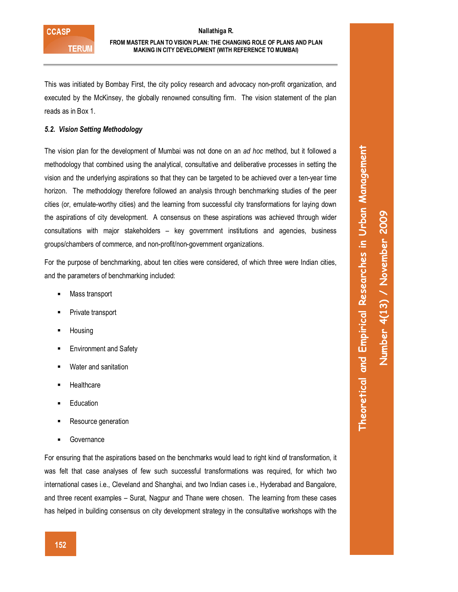This was initiated by Bombay First, the city policy research and advocacy non-profit organization, and executed by the McKinsey, the globally renowned consulting firm. The vision statement of the plan reads as in Box 1.

# *5.2. Vision Setting Methodology*

The vision plan for the development of Mumbai was not done on an *ad hoc* method, but it followed a methodology that combined using the analytical, consultative and deliberative processes in setting the vision and the underlying aspirations so that they can be targeted to be achieved over a ten-year time horizon. The methodology therefore followed an analysis through benchmarking studies of the peer cities (or, emulate-worthy cities) and the learning from successful city transformations for laying down the aspirations of city development. A consensus on these aspirations was achieved through wider consultations with major stakeholders – key government institutions and agencies, business groups/chambers of commerce, and non-profit/non-government organizations.

For the purpose of benchmarking, about ten cities were considered, of which three were Indian cities, and the parameters of benchmarking included:

- **Mass transport**
- Private transport
- **Housing**
- **Environment and Safety**
- Water and sanitation
- **Healthcare**
- **Education**
- Resource generation
- **Governance**

For ensuring that the aspirations based on the benchmarks would lead to right kind of transformation, it was felt that case analyses of few such successful transformations was required, for which two international cases i.e., Cleveland and Shanghai, and two Indian cases i.e., Hyderabad and Bangalore, and three recent examples – Surat, Nagpur and Thane were chosen. The learning from these cases has helped in building consensus on city development strategy in the consultative workshops with the

**Theoretical and Empirical Researches in Urban Management**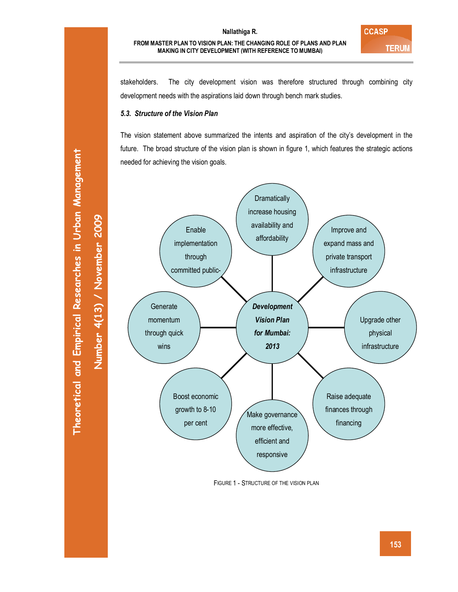stakeholders. The city development vision was therefore structured through combining city development needs with the aspirations laid down through bench mark studies.

# *5.3. Structure of the Vision Plan*

The vision statement above summarized the intents and aspiration of the city's development in the future. The broad structure of the vision plan is shown in figure 1, which features the strategic actions needed for achieving the vision goals.



FIGURE 1 - STRUCTURE OF THE VISION PLAN

**Number 4(13) / November 2009**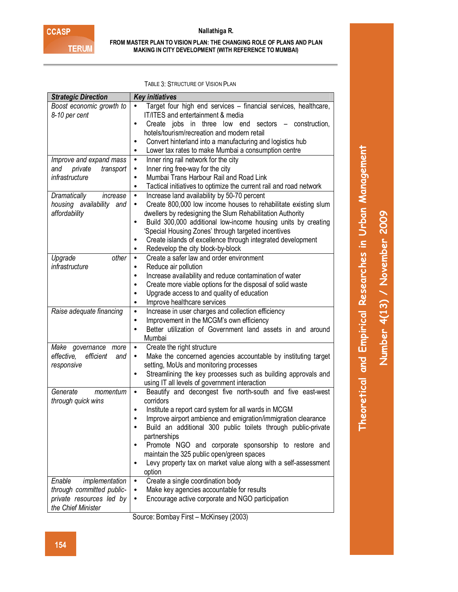#### **FROM MASTER PLAN TO VISION PLAN: THE CHANGING ROLE OF PLANS AND PLAN MAKING IN CITY DEVELOPMENT (WITH REFERENCE TO MUMBAI)**

TABLE 3: STRUCTURE OF VISION PLAN

| Boost economic growth to<br>Target four high end services - financial services, healthcare,<br>٠                                         |  |
|------------------------------------------------------------------------------------------------------------------------------------------|--|
|                                                                                                                                          |  |
| 8-10 per cent<br>IT/ITES and entertainment & media                                                                                       |  |
| Create jobs in three low end sectors – construction,<br>$\bullet$                                                                        |  |
| hotels/tourism/recreation and modern retail                                                                                              |  |
| Convert hinterland into a manufacturing and logistics hub<br>٠                                                                           |  |
| Lower tax rates to make Mumbai a consumption centre<br>٠                                                                                 |  |
| Inner ring rail network for the city<br>Improve and expand mass<br>$\bullet$                                                             |  |
| private<br>Inner ring free-way for the city<br>and<br>transport<br>٠                                                                     |  |
| infrastructure<br>Mumbai Trans Harbour Rail and Road Link<br>$\bullet$                                                                   |  |
| Tactical initiatives to optimize the current rail and road network<br>$\bullet$                                                          |  |
| Increase land availability by 50-70 percent<br>Dramatically<br>increase<br>$\bullet$                                                     |  |
| Create 800,000 low income houses to rehabilitate existing slum<br>housing availability and<br>٠                                          |  |
| affordability<br>dwellers by redesigning the Slum Rehabilitation Authority                                                               |  |
| Build 300,000 additional low-income housing units by creating<br>$\bullet$                                                               |  |
| 'Special Housing Zones' through targeted incentives                                                                                      |  |
| Create islands of excellence through integrated development                                                                              |  |
| Redevelop the city block-by-block                                                                                                        |  |
| other<br>Create a safer law and order environment<br>Upgrade<br>$\bullet$                                                                |  |
| infrastructure<br>Reduce air pollution<br>$\bullet$                                                                                      |  |
| Increase availability and reduce contamination of water<br>$\bullet$                                                                     |  |
| Create more viable options for the disposal of solid waste<br>$\bullet$                                                                  |  |
| Upgrade access to and quality of education<br>$\bullet$                                                                                  |  |
| Improve healthcare services<br>$\bullet$                                                                                                 |  |
| Raise adequate financing<br>Increase in user charges and collection efficiency<br>$\bullet$                                              |  |
| Improvement in the MCGM's own efficiency<br>$\bullet$                                                                                    |  |
| Better utilization of Government land assets in and around<br>$\bullet$                                                                  |  |
| Mumbai                                                                                                                                   |  |
| Create the right structure<br>Make governance more<br>$\bullet$                                                                          |  |
| Make the concerned agencies accountable by instituting target<br>effective,<br>efficient<br>and                                          |  |
| setting, MoUs and monitoring processes<br>responsive                                                                                     |  |
| Streamlining the key processes such as building approvals and                                                                            |  |
| using IT all levels of government interaction<br>Generate<br>Beautify and decongest five north-south and five east-west<br>momentum<br>٠ |  |
| corridors<br>through quick wins                                                                                                          |  |
| Institute a report card system for all wards in MCGM                                                                                     |  |
| Improve airport ambience and emigration/immigration clearance<br>$\bullet$                                                               |  |
| Build an additional 300 public toilets through public-private                                                                            |  |
| partnerships                                                                                                                             |  |
| Promote NGO and corporate sponsorship to restore and                                                                                     |  |
| maintain the 325 public open/green spaces                                                                                                |  |
| Levy property tax on market value along with a self-assessment                                                                           |  |
| option                                                                                                                                   |  |
| Create a single coordination body<br>implementation<br>Enable<br>$\bullet$                                                               |  |
| through committed public-<br>Make key agencies accountable for results<br>$\bullet$                                                      |  |
| private resources led by<br>Encourage active corporate and NGO participation                                                             |  |
| the Chief Minister                                                                                                                       |  |

Source: Bombay First – McKinsey (2003)

**Theoretical and Empirical Researches in Urban Management**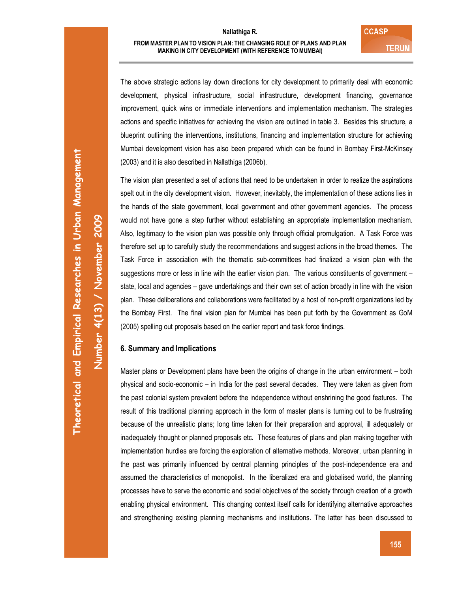The above strategic actions lay down directions for city development to primarily deal with economic development, physical infrastructure, social infrastructure, development financing, governance improvement, quick wins or immediate interventions and implementation mechanism. The strategies actions and specific initiatives for achieving the vision are outlined in table 3. Besides this structure, a blueprint outlining the interventions, institutions, financing and implementation structure for achieving Mumbai development vision has also been prepared which can be found in Bombay First-McKinsey (2003) and it is also described in Nallathiga (2006b).

The vision plan presented a set of actions that need to be undertaken in order to realize the aspirations spelt out in the city development vision. However, inevitably, the implementation of these actions lies in the hands of the state government, local government and other government agencies. The process would not have gone a step further without establishing an appropriate implementation mechanism. Also, legitimacy to the vision plan was possible only through official promulgation. A Task Force was therefore set up to carefully study the recommendations and suggest actions in the broad themes. The Task Force in association with the thematic sub-committees had finalized a vision plan with the suggestions more or less in line with the earlier vision plan. The various constituents of government – state, local and agencies – gave undertakings and their own set of action broadly in line with the vision plan. These deliberations and collaborations were facilitated by a host of non-profit organizations led by the Bombay First. The final vision plan for Mumbai has been put forth by the Government as GoM (2005) spelling out proposals based on the earlier report and task force findings.

# **6. Summary and Implications**

Master plans or Development plans have been the origins of change in the urban environment – both physical and socio-economic – in India for the past several decades. They were taken as given from the past colonial system prevalent before the independence without enshrining the good features. The result of this traditional planning approach in the form of master plans is turning out to be frustrating because of the unrealistic plans; long time taken for their preparation and approval, ill adequately or inadequately thought or planned proposals etc. These features of plans and plan making together with implementation hurdles are forcing the exploration of alternative methods. Moreover, urban planning in the past was primarily influenced by central planning principles of the post-independence era and assumed the characteristics of monopolist. In the liberalized era and globalised world, the planning processes have to serve the economic and social objectives of the society through creation of a growth enabling physical environment. This changing context itself calls for identifying alternative approaches and strengthening existing planning mechanisms and institutions. The latter has been discussed to

**Number 4(13) / November 2009**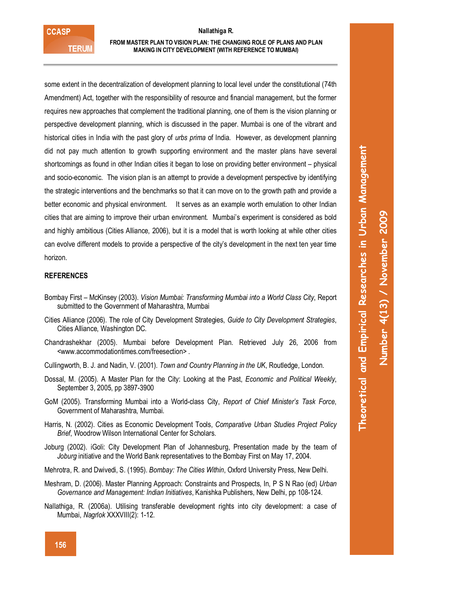### **FROM MASTER PLAN TO VISION PLAN: THE CHANGING ROLE OF PLANS AND PLAN MAKING IN CITY DEVELOPMENT (WITH REFERENCE TO MUMBAI)**

some extent in the decentralization of development planning to local level under the constitutional (74th Amendment) Act, together with the responsibility of resource and financial management, but the former requires new approaches that complement the traditional planning, one of them is the vision planning or perspective development planning, which is discussed in the paper. Mumbai is one of the vibrant and historical cities in India with the past glory of *urbs prima* of India. However, as development planning did not pay much attention to growth supporting environment and the master plans have several shortcomings as found in other Indian cities it began to lose on providing better environment – physical and socio-economic. The vision plan is an attempt to provide a development perspective by identifying the strategic interventions and the benchmarks so that it can move on to the growth path and provide a better economic and physical environment. It serves as an example worth emulation to other Indian cities that are aiming to improve their urban environment. Mumbai's experiment is considered as bold and highly ambitious (Cities Alliance, 2006), but it is a model that is worth looking at while other cities can evolve different models to provide a perspective of the city's development in the next ten year time horizon.

# **REFERENCES**

- Bombay First McKinsey (2003). *Vision Mumbai: Transforming Mumbai into a World Class City*, Report submitted to the Government of Maharashtra, Mumbai
- Cities Alliance (2006). The role of City Development Strategies, *Guide to City Development Strategies*, Cities Alliance, Washington DC.
- Chandrashekhar (2005). Mumbai before Development Plan. Retrieved July 26, 2006 from <www.accommodationtimes.com/freesection> .
- Cullingworth, B. J. and Nadin, V. (2001). *Town and Country Planning in the UK*, Routledge, London.
- Dossal, M. (2005). A Master Plan for the City: Looking at the Past, *Economic and Political Weekly*, September 3, 2005, pp 3897-3900
- GoM (2005). Transforming Mumbai into a World-class City, *Report of Chief Minister's Task Force*, Government of Maharashtra, Mumbai.
- Harris, N. (2002). Cities as Economic Development Tools, *Comparative Urban Studies Project Policy Brief*, Woodrow Wilson International Center for Scholars.
- Joburg (2002). iGoli: City Development Plan of Johannesburg, Presentation made by the team of *Joburg* initiative and the World Bank representatives to the Bombay First on May 17, 2004.
- Mehrotra, R. and Dwivedi, S. (1995). *Bombay: The Cities Within*, Oxford University Press, New Delhi.
- Meshram, D. (2006). Master Planning Approach: Constraints and Prospects, In, P S N Rao (ed) *Urban Governance and Management: Indian Initiatives*, Kanishka Publishers, New Delhi, pp 108-124.
- Nallathiga, R. (2006a). Utilising transferable development rights into city development: a case of Mumbai, *Nagrlok* XXXVIII(2): 1-12.

**Theoretical and Empirical Researches in Urban Management**